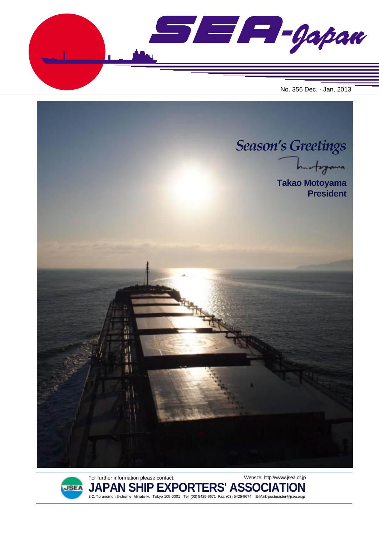$\blacksquare$  $\blacksquare$  $\blacksquare$  $\blacksquare$ No. 356 Dec. - Jan. 2013





**JAPAN SHIP EXPORTERS' ASSOCIATION** 2-2, Toranomon 3-chome, Minato-ku, Tokyo 105-0001 Tel: (03) 5425-9671 Fax: (03) 5425-9674 E-Mail: postmaster@jsea.or.jp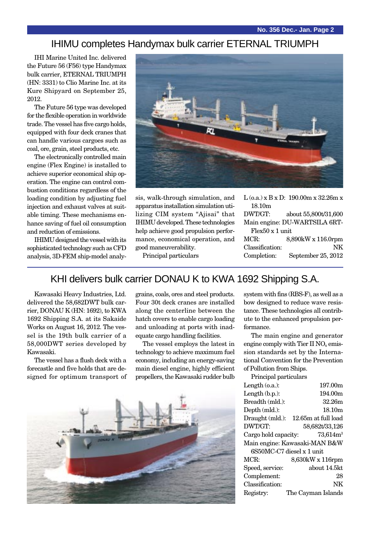#### IHIMU completes Handymax bulk carrier ETERNAL TRIUMPH

IHI Marine United Inc. delivered the Future 56 (F56) type Handymax bulk carrier, ETERNAL TRIUMPH (HN: 3331) to Clio Marine Inc. at its Kure Shipyard on September 25, 2012.

The Future 56 type was developed for the flexible operation in worldwide trade. The vessel has five cargo holds, equipped with four deck cranes that can handle various cargoes such as coal, ore, grain, steel products, etc.

The electronically controlled main engine (Flex Engine) is installed to achieve superior economical ship operation. The engine can control combustion conditions regardless of the loading condition by adjusting fuel injection and exhaust valves at suitable timing. These mechanisms enhance saving of fuel oil consumption and reduction of emissions.

IHIMU designed the vessel with its sophisticated technology such as CFD analysis, 3D-FEM ship-model analy-



sis, walk-through simulation, and apparatus installation simulation utilizing CIM system "Ajisai" that IHIMU developed. These technologies help achieve good propulsion performance, economical operation, and good maneuverability.

Principal particulars

|                               | $L$ (o.a.) x B x D: 190.00m x 32.26m x |  |
|-------------------------------|----------------------------------------|--|
| 18.10 <sub>m</sub>            |                                        |  |
| DWT/GT:                       | about 55,800t/31,600                   |  |
| Main engine: DU-WARTSILA 6RT- |                                        |  |
| Flex50 x 1 unit               |                                        |  |
| MCR:                          | 8,890kW x 116.0rpm                     |  |
| Classification:               | NK                                     |  |
| Completion:                   | September 25, 2012                     |  |

### KHI delivers bulk carrier DONAU K to KWA 1692 Shipping S.A.

Kawasaki Heavy Industries, Ltd. delivered the 58,682DWT bulk carrier, DONAU K (HN: 1692), to KWA 1692 Shipping S.A. at its Sakaide Works on August 16, 2012. The vessel is the 19th bulk carrier of a 58,000DWT series developed by Kawasaki.

The vessel has a flush deck with a forecastle and five holds that are designed for optimum transport of

grains, coals, ores and steel products. Four 30t deck cranes are installed along the centerline between the hatch covers to enable cargo loading and unloading at ports with inadequate cargo handling facilities.

The vessel employs the latest in technology to achieve maximum fuel economy, including an energy-saving main diesel engine, highly efficient propellers, the Kawasaki rudder bulb



system with fins (RBS-F), as well as a bow designed to reduce wave resistance. These technologies all contribute to the enhanced propulsion performance.

The main engine and generator engine comply with Tier II  $NO<sub>x</sub>$  emission standards set by the International Convention for the Prevention of Pollution from Ships.

Principal particulars

| Length $(o.a.):$              | 197.00m             |  |
|-------------------------------|---------------------|--|
| Length $(b.p.):$              | 194.00m             |  |
| Breadth (mld.):               | 32.26m              |  |
| Depth (mld.):                 | 18.10 <sub>m</sub>  |  |
| Draught (mld.):               | 12.65m at full load |  |
| DWT/GT:                       | 58,682t/33,126      |  |
| Cargo hold capacity:          | $73,614m^3$         |  |
| Main engine: Kawasaki-MAN B&W |                     |  |
| 6S50MC-C7 diesel x 1 unit     |                     |  |
| MCR:                          | 8,630kW x 116rpm    |  |
| Speed, service:               | about 14.5kt        |  |
| Complement:                   | 28                  |  |
| Classification:               | NΚ                  |  |
| Registry:                     | The Cayman Islands  |  |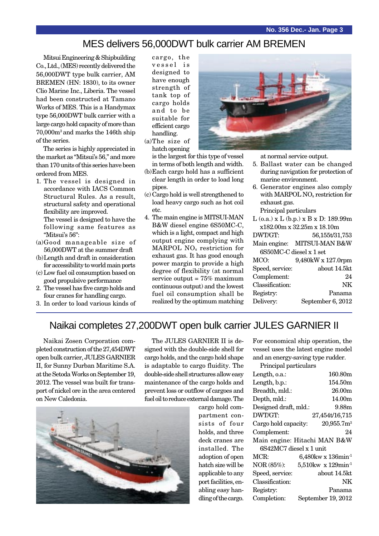# MES delivers 56,000DWT bulk carrier AM BREMEN

Mitsui Engineering & Shipbuilding Co., Ltd., (MES) recently delivered the 56,000DWT type bulk carrier, AM BREMEN (HN: 1830), to its owner Clio Marine Inc., Liberia. The vessel had been constructed at Tamano Works of MES. This is a Handymax type 56,000DWT bulk carrier with a large cargo hold capacity of more than 70,000m3 and marks the 146th ship of the series.

The series is highly appreciated in the market as "Mitsui's 56," and more than 170 units of this series have been ordered from MES.

- 1. The vessel is designed in accordance with IACS Common Structural Rules. As a result, structural safety and operational flexibility are improved. The vessel is designed to have the following same features as "Mitsui's 56":
- (a)Good manageable size of 56,000DWT at the summer draft
- (b)Length and draft in consideration for accessibility to world main ports
- (c) Low fuel oil consumption based on good propulsive performance
- 2. The vessel has five cargo holds and four cranes for handling cargo.
- 3. In order to load various kinds of

cargo, the vessel is designed to have enough strength of tank top of cargo holds and to be suitable for efficient cargo handling.

(a)The size of hatch opening

is the largest for this type of vessel in terms of both length and width.

- (b)Each cargo hold has a sufficient clear length in order to load long pipes.
- (c) Cargo hold is well strengthened to load heavy cargo such as hot coil etc.
- 4. The main engine is MITSUI-MAN B&W diesel engine 6S50MC-C, which is a light, compact and high output engine complying with MARPOL NOx restriction for exhaust gas. It has good enough power margin to provide a high degree of flexibility (at normal service output =  $75\%$  maximum continuous output) and the lowest fuel oil consumption shall be realized by the optimum matching



at normal service output.

- 5. Ballast water can be changed during navigation for protection of marine environment.
- 6. Generator engines also comply with MARPOL NO<sub>x</sub> restriction for exhaust gas.

Principal particulars

L (o.a.) x L (b.p.) x B x D: 189.99m x182.00m x 32.25m x 18.10m DWT/GT: 56,155t/31,753 Main engine: MITSUI-MAN B&W 6S50MC-C diesel x 1 set MCO: 9,480kW x 127.0rpm Speed, service: about 14.5kt Complement: 24 Classification: NK Registry: Panama Delivery: September 6, 2012

#### Naikai completes 27,200DWT open bulk carrier JULES GARNIER II

Naikai Zosen Corporation completed construction of the 27,454DWT open bulk carrier, JULES GARNIER II, for Sunny Durban Maritime S.A. at the Setoda Works on September 19, 2012. The vessel was built for transport of nickel ore in the area centered on New Caledonia.

The JULES GARNIER II is designed with the double-side shell for cargo holds, and the cargo hold shape is adaptable to cargo fluidity. The double-side shell structures allow easy maintenance of the cargo holds and prevent loss or outflow of cargoes and fuel oil to reduce external damage. The



cargo hold compartment consists of four holds, and three deck cranes are installed. The adoption of open hatch size will be applicable to any port facilities, enabling easy handling of the cargo.

For economical ship operation, the vessel uses the latest engine model and an energy-saving type rudder.

Principal particulars

| Length, o.a.:                |  | 160.80m                              |
|------------------------------|--|--------------------------------------|
| Length, b.p.:                |  | 154.50m                              |
| Breadth, mld.:               |  | 26.00m                               |
| Depth, mld.:                 |  | 14.00m                               |
| Designed draft, mld.:        |  | 9.88m                                |
| DWT/GT:                      |  | 27,454t/16,715                       |
| Cargo hold capacity:         |  | 20,955.7m <sup>3</sup>               |
| Complement:                  |  | 24                                   |
| Main engine: Hitachi MAN B&W |  |                                      |
| 6S42MC7 diesel x 1 unit      |  |                                      |
| MCR:                         |  | $6,480$ kw x $136$ min <sup>-1</sup> |
| NOR (85%):                   |  | $5{,}510$ kw x 129min <sup>-1</sup>  |
| Speed, service:              |  | about 14.5kt                         |
| Classification:              |  | NΚ                                   |
| Registry:                    |  | Panama                               |
| Completion:                  |  | September 19, 2012                   |
|                              |  |                                      |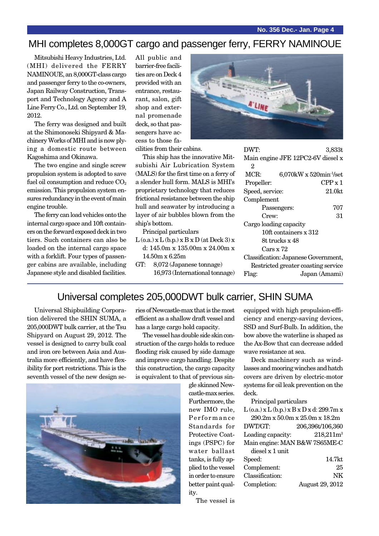# MHI completes 8,000GT cargo and passenger ferry, FERRY NAMINOUE

Mitsubishi Heavy Industries, Ltd. (MHI) delivered the FERRY NAMINOUE, an 8,000GT-class cargo and passenger ferry to the co-owners, Japan Railway Construction, Transport and Technology Agency and A Line Ferry Co., Ltd. on September 19, 2012.

The ferry was designed and built at the Shimonoseki Shipyard & Machinery Works of MHI and is now plying a domestic route between Kagoshima and Okinawa.

The two engine and single screw propulsion system is adopted to save fuel oil consumption and reduce  $CO<sub>2</sub>$ emission. This propulsion system ensures redundancy in the event of main engine trouble.

The ferry can load vehicles onto the internal cargo space and 10ft containers on the forward exposed deck in two tiers. Such containers can also be loaded on the internal cargo space with a forklift. Four types of passenger cabins are available, including Japanese style and disabled facilities. All public and barrier-free facilities are on Deck 4 provided with an entrance, restaurant, salon, gift shop and external promenade deck, so that passengers have access to those facilities from their cabins.

This ship has the innovative Mitsubishi Air Lubrication System (MALS) for the first time on a ferry of a slender hull form. MALS is MHI's proprietary technology that reduces frictional resistance between the ship hull and seawater by introducing a layer of air bubbles blown from the ship's bottom.

Principal particulars

- $L$  (o.a.)  $x L$  (b.p.)  $x B x D$  (at Deck 3)  $x$ d: 145.0m x 135.00m x 24.00m x 14.50m x 6.25m
- GT: 8,072 (Japanese tonnage) 16,973 (International tonnage)



| DWT:                                 |                                           | 3.833t        |
|--------------------------------------|-------------------------------------------|---------------|
|                                      | Main engine JFE 12PC2-6V diesel x         |               |
| 2                                    |                                           |               |
| MCR:                                 | $6,070$ kW x $520$ min <sup>-1</sup> /set |               |
| Propeller:                           |                                           | CPPx1         |
| Speed, service:                      |                                           | $21.0$ kt     |
| Complement                           |                                           |               |
|                                      | Passengers:                               | 707           |
| Crew:                                |                                           | 31            |
| Cargo loading capacity               |                                           |               |
| $10ft$ containers $x$ 312            |                                           |               |
| 8t trucks x 48                       |                                           |               |
| Cars x 72                            |                                           |               |
| Classification: Japanese Government, |                                           |               |
| Restricted greater coasting service  |                                           |               |
| Flag:                                |                                           | Japan (Amami) |

# Universal completes 205,000DWT bulk carrier, SHIN SUMA

Universal Shipbuilding Corporation delivered the SHIN SUMA, a 205,000DWT bulk carrier, at the Tsu Shipyard on August 29, 2012. The vessel is designed to carry bulk coal and iron ore between Asia and Australia more efficiently, and have flexibility for port restrictions. This is the seventh vessel of the new design se-



The vessel has double side skin construction of the cargo holds to reduce flooding risk caused by side damage and improve cargo handling. Despite this construction, the cargo capacity is equivalent to that of previous sin-

> gle skinned Newcastle-max series. Furthermore, the new IMO rule, Performance Standards for Protective Coatings (PSPC) for water ballast tanks, is fully applied to the vessel in order to ensure better paint quality.

equipped with high propulsion-efficiency and energy-saving devices, SSD and Surf-Bulb. In addition, the bow above the waterline is shaped as the Ax-Bow that can decrease added wave resistance at sea.

Deck machinery such as windlasses and mooring winches and hatch covers are driven by electric-motor systems for oil leak prevention on the  $d_{\text{colz}}$ 

| ueux.                                             |                  |  |  |
|---------------------------------------------------|------------------|--|--|
| Principal particulars                             |                  |  |  |
| $L$ (o.a.) x $L$ (b.p.) x $B$ x $D$ x d: 299.7m x |                  |  |  |
| $290.2m \times 50.0m \times 25.0m \times 18.2m$   |                  |  |  |
| DWT/GT:                                           | 206,396t/106,360 |  |  |
| Loading capacity:                                 | $218,211m^3$     |  |  |
| Main engine: MAN B&W 7S65ME-C                     |                  |  |  |
| diesel x 1 unit                                   |                  |  |  |
| Speed:                                            | 14.7kt           |  |  |
| Complement:                                       | 25               |  |  |
| Classification:                                   | NK               |  |  |
| Completion:                                       | August 29, 2012  |  |  |
|                                                   |                  |  |  |

The vessel is

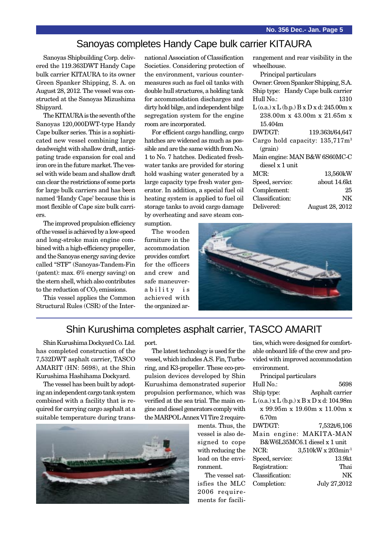## Sanoyas completes Handy Cape bulk carrier KITAURA

Sanoyas Shipbuilding Corp. delivered the 119.363DWT Handy Cape bulk carrier KITAURA to its owner Green Spanker Shipping, S. A. on August 28, 2012. The vessel was constructed at the Sanoyas Mizushima Shipyard.

The KITAURA is the seventh of the Sanoyas 120,000DWT-type Handy Cape bulker series. This is a sophisticated new vessel combining large deadweight with shallow draft, anticipating trade expansion for coal and iron ore in the future market. The vessel with wide beam and shallow draft can clear the restrictions of some ports for large bulk carriers and has been named 'Handy Cape' because this is most flexible of Cape size bulk carriers.

The improved propulsion efficiency of the vessel is achieved by a low-speed and long-stroke main engine combined with a high-efficiency propeller, and the Sanoyas energy saving device called "STF" (Sanoyas-Tandem-Fin (patent): max. 6% energy saving) on the stern shell, which also contributes to the reduction of  $CO<sub>2</sub>$  emissions.

This vessel applies the Common Structural Rules (CSR) of the International Association of Classification Societies. Considering protection of the environment, various countermeasures such as fuel oil tanks with double hull structures, a holding tank for accommodation discharges and dirty hold bilge, and independent bilge segregation system for the engine room are incorporated.

For efficient cargo handling, cargo hatches are widened as much as possible and are the same width from No. 1 to No. 7 hatches. Dedicated freshwater tanks are provided for storing hold washing water generated by a large capacity type fresh water generator. In addition, a special fuel oil heating system is applied to fuel oil storage tanks to avoid cargo damage by overheating and save steam con-

sumption.

The wooden furniture in the accommodation provides comfort for the officers and crew and safe maneuverability is achieved with the organized arrangement and rear visibility in the wheelhouse.

Principal particulars Owner: Green Spanker Shipping, S.A. Ship type: Handy Cape bulk carrier Hull No.: 1310 L (o.a.) x L (b.p.) B x D x d: 245.00m x 238.00m x 43.00m x 21.65m x 15.404m DWT/GT: 119.363t/64,647 Cargo hold capacity: 135,717m3 (grain) Main engine: MAN B&W 6S60MC-C diesel x 1 unit MCR: 13,560kW Speed, service: about 14.6kt Complement: 25 Classification: NK Delivered: August 28, 2012



#### Shin Kurushima completes asphalt carrier, TASCO AMARIT

Shin Kurushima Dockyard Co. Ltd. has completed construction of the 7,532DWT asphalt carrier, TASCO AMARIT (HN: 5698), at the Shin Kurushima Hashihama Dockyard.

The vessel has been built by adopting an independent cargo tank system combined with a facility that is required for carrying cargo asphalt at a suitable temperature during transport.

The latest technology is used for the vessel, which includes A.S. Fin, Turboring, and K3-propeller. These eco-propulsion devices developed by Shin Kurushima demonstrated superior propulsion performance, which was verified at the sea trial. The main engine and diesel generators comply with the MARPOL Annex VI Tire 2 require-



ments. Thus, the vessel is also designed to cope with reducing the load on the environment.

The vessel satisfies the MLC 2006 requirements for facilities, which were designed for comfortable onboard life of the crew and provided with improved accommodation environment.

| Principal particulars                |                                                  |  |
|--------------------------------------|--------------------------------------------------|--|
| Hull No.:                            | 5698                                             |  |
| Ship type:                           | Asphalt carrier                                  |  |
|                                      | $L$ (o.a.) x $L$ (b.p.) x $B$ x $D$ x d: 104.98m |  |
| $x$ 99.95m $x$ 19.60m $x$ 11.00m $x$ |                                                  |  |
| 6.70m                                |                                                  |  |
| DWT/GT:                              | 7,532t/6,106                                     |  |
|                                      | Main engine: MAKITA-MAN                          |  |
| B&W6L35MC6.1 diesel x 1 unit         |                                                  |  |
| NCR:                                 | 3,510kW x 203min <sup>-1</sup>                   |  |
| Speed, service:                      | 13.9kt                                           |  |
| Registration:                        | Thai                                             |  |
| Classification:                      | NK                                               |  |
| Completion:                          | July 27,2012                                     |  |
|                                      |                                                  |  |